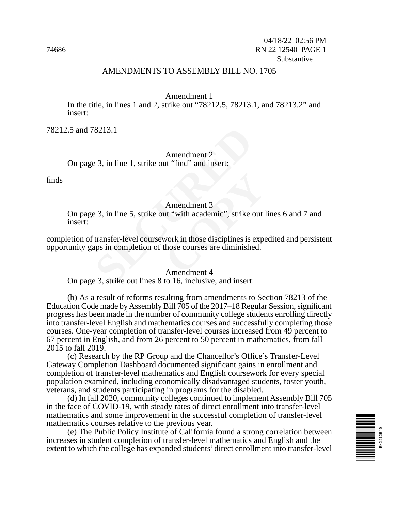### AMENDMENTS TO ASSEMBLY BILL NO. 1705

#### Amendment 1

In the title, in lines 1 and 2, strike out "78212.5, 78213.1, and 78213.2" and insert:

78212.5 and 78213.1

Amendment 2 On page 3, in line 1, strike out "find" and insert:

finds

#### Amendment 3

On page 3, in line 5, strike out "with academic", strike out lines 6 and 7 and insert:

8213.1<br>
Amendment 2<br>
E 3, in line 1, strike out "find" and insert:<br>
Amendment 3<br>
E 3, in line 5, strike out "with academic", strike of<br>
transfer-level coursework in those disciplines is a<br>
pays in completion of those cours Amendment 3<br>
ut "with academic", strike out l<br>
work in those disciplines is experience ourses are diminished.<br>
Amendment 4 completion of transfer-level coursework in those disciplines is expedited and persistent opportunity gaps in completion of those courses are diminished.

#### Amendment 4

On page 3, strike out lines 8 to 16, inclusive, and insert:

(b) As a result of reforms resulting from amendments to Section 78213 of the Education Code made by Assembly Bill 705 of the 2017–18 Regular Session, significant progress has been made in the number of community college students enrolling directly into transfer-level English and mathematics courses and successfully completing those courses. One-year completion of transfer-level courses increased from 49 percent to 67 percent in English, and from 26 percent to 50 percent in mathematics, from fall 2015 to fall 2019.

(c) Research by the RP Group and the Chancellor's Office's Transfer-Level Gateway Completion Dashboard documented significant gains in enrollment and completion of transfer-level mathematics and English coursework for every special population examined, including economically disadvantaged students, foster youth, veterans, and students participating in programs for the disabled.

(d) In fall 2020, community colleges continued to implement Assembly Bill 705 in the face of COVID-19, with steady rates of direct enrollment into transfer-level mathematics and some improvement in the successful completion of transfer-level mathematics courses relative to the previous year.

(e) The Public Policy Institute of California found a strong correlation between increases in student completion of transfer-level mathematics and English and the extent to which the college has expanded students' direct enrollment into transfer-level

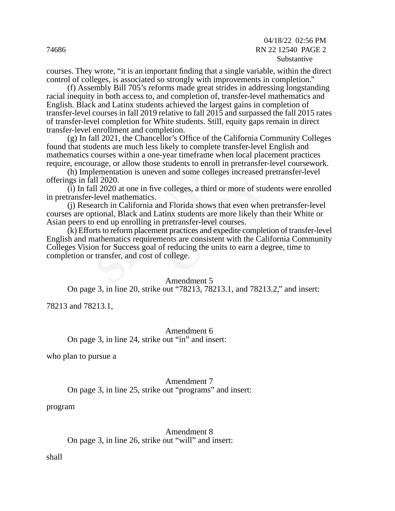courses. They wrote, "it is an important finding that a single variable, within the direct control of colleges, is associated so strongly with improvements in completion."

(f) Assembly Bill 705's reforms made great strides in addressing longstanding racial inequity in both access to, and completion of, transfer-level mathematics and English. Black and Latinx students achieved the largest gains in completion of transfer-level courses in fall 2019 relative to fall 2015 and surpassed the fall 2015 rates of transfer-level completion for White students. Still, equity gaps remain in direct transfer-level enrollment and completion.

enrollment and completion.<br>
Ill 2021, the Chancellor's Office of the Californi<br>
dents are much less likely to complete transfer-lourses within a one-year time<br>
frame when local<br>
rrage, or allow those students to enroll in (g) In fall 2021, the Chancellor's Office of the California Community Colleges found that students are much less likely to complete transfer-level English and mathematics courses within a one-year timeframe when local placement practices require, encourage, or allow those students to enroll in pretransfer-level coursework.

(h) Implementation is uneven and some colleges increased pretransfer-level offerings in fall 2020.

 $(i)$  In fall 2020 at one in five colleges, a third or more of students were enrolled in pretransfer-level mathematics.

(j) Research in California and Florida shows that even when pretransfer-level courses are optional, Black and Latinx students are more likely than their White or Asian peers to end up enrolling in pretransfer-level courses.

r and some coneges mereased colleges, a third or more of students are more of students are more likely the pretransfer-level courses.<br>The pretransfer-level courses and expedite complements are consistent with the Calf redu (k) Efforts to reform placement practices and expedite completion of transfer-level English and mathematics requirements are consistent with the California Community Colleges Vision for Success goal of reducing the units to earn a degree, time to completion or transfer, and cost of college.

#### Amendment 5

On page 3, in line 20, strike out "78213, 78213.1, and 78213.2," and insert:

78213 and 78213.1,

Amendment 6 On page 3, in line 24, strike out "in" and insert:

who plan to pursue a

Amendment 7 On page 3, in line 25, strike out "programs" and insert:

program

Amendment 8 On page 3, in line 26, strike out "will" and insert:

shall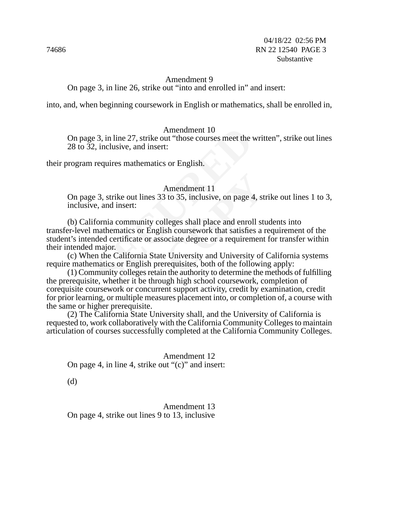## Amendment 9 On page 3, in line 26, strike out "into and enrolled in" and insert:

into, and, when beginning coursework in English or mathematics, shall be enrolled in,

#### Amendment 10

On page 3, in line 27, strike out "those courses meet the written", strike out lines 28 to 32, inclusive, and insert:

their program requires mathematics or English.

#### Amendment 11

On page 3, strike out lines 33 to 35, inclusive, on page 4, strike out lines 1 to 3, inclusive, and insert:

Amendment 10<br>
2.3, in line 27, strike out "those courses meet the v.<br>
2., inclusive, and insert:<br>
requires mathematics or English.<br>
Amendment 11<br>
2.3, strike out lines 33 to 35, inclusive, on page 4<br>
e, and insert:<br>
fornia Amendment 11<br>
<sup>3</sup> to 35, inclusive, on page 4, stra<br>
<br>
Ileges shall place and enroll stra<br>
sh coursework that satisfies a r<br>
ociate degree or a requirement<br>
<br>
Pe University and University of<br>
requisites, both of the follow (b) California community colleges shall place and enroll students into transfer-level mathematics or English coursework that satisfies a requirement of the student's intended certificate or associate degree or a requirement for transfer within their intended major.

(c) When the California State University and University of California systems require mathematics or English prerequisites, both of the following apply:

(1) Community colleges retain the authority to determine the methods of fulfilling the prerequisite, whether it be through high school coursework, completion of corequisite coursework or concurrent support activity, credit by examination, credit for prior learning, or multiple measures placement into, or completion of, a course with the same or higher prerequisite.

(2) The California State University shall, and the University of California is requested to, work collaboratively with the California Community Colleges to maintain articulation of courses successfully completed at the California Community Colleges.

Amendment 12 On page 4, in line 4, strike out "(c)" and insert:

(d)

Amendment 13 On page 4, strike out lines 9 to 13, inclusive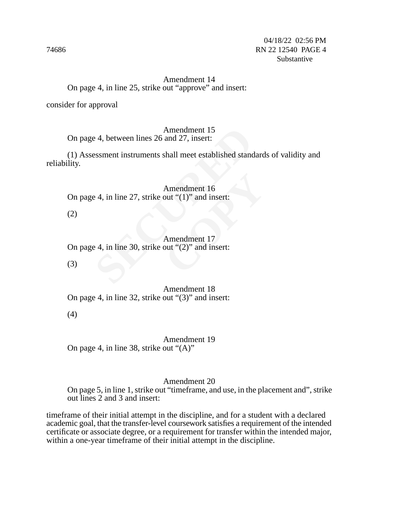## Amendment 14 On page 4, in line 25, strike out "approve" and insert:

consider for approval

Amendment 15

On page 4, between lines 26 and 27, insert:

Amendment 15<br>
Amendment 15<br>
essment instruments shall meet established stand<br>
Amendment 16<br>
E 4, in line 27, strike out "(1)" and insert:<br>
Amendment 17<br>
E 4, in line 30, strike out "(2)" and insert: (1) Assessment instruments shall meet established standards of validity and reliability.

Amendment 16 On page 4, in line 27, strike out "(1)" and insert:

(2)

Amendment 16<br>
out "(1)" and insert:<br>
Amendment 17<br>
out "(2)" and insert: Amendment 17 On page 4, in line 30, strike out "(2)" and insert:

(3)

Amendment 18 On page 4, in line 32, strike out "(3)" and insert:

(4)

Amendment 19 On page 4, in line 38, strike out "(A)"

#### Amendment 20

On page 5, in line 1, strike out "timeframe, and use, in the placement and", strike out lines 2 and 3 and insert:

timeframe of their initial attempt in the discipline, and for a student with a declared academic goal, that the transfer-level coursework satisfies a requirement of the intended certificate or associate degree, or a requirement for transfer within the intended major, within a one-year timeframe of their initial attempt in the discipline.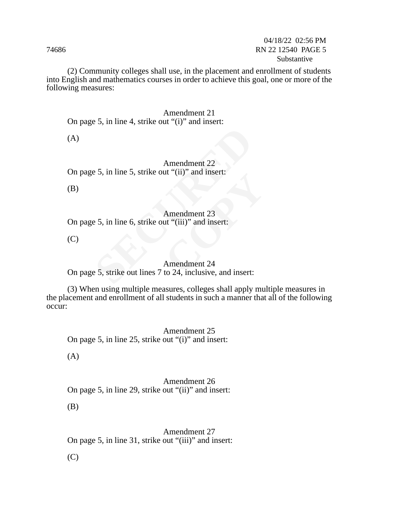(2) Community colleges shall use, in the placement and enrollment of students into English and mathematics courses in order to achieve this goal, one or more of the following measures:

#### Amendment 21 On page 5, in line 4, strike out "(i)" and insert:

(A)

Amendment 22<br>
E 5, in line 5, strike out "(ii)" and insert:<br>
Amendment 23<br>
E 5, in line 6, strike out "(iii)" and insert:<br>
Amendment 24<br>
Amendment 24<br>
E 5, strike out lines 7 to 24, inclusive, and insert: Amendment 22 On page 5, in line 5, strike out "(ii)" and insert:

(B)

## Amendment 23

On page 5, in line 6, strike out "(iii)" and insert:

(C)

# Amendment 23<br>
ut "(ii)" and insert:<br>
ut "(iii)" and insert:<br>
Amendment 24<br>
to 24. inclusive, and insert: Amendment 24

On page 5, strike out lines 7 to 24, inclusive, and insert:

(3) When using multiple measures, colleges shall apply multiple measures in the placement and enrollment of all students in such a manner that all of the following occur:

Amendment 25 On page 5, in line 25, strike out "(i)" and insert:

(A)

Amendment 26 On page 5, in line 29, strike out "(ii)" and insert:

(B)

Amendment 27 On page 5, in line 31, strike out "(iii)" and insert:

(C)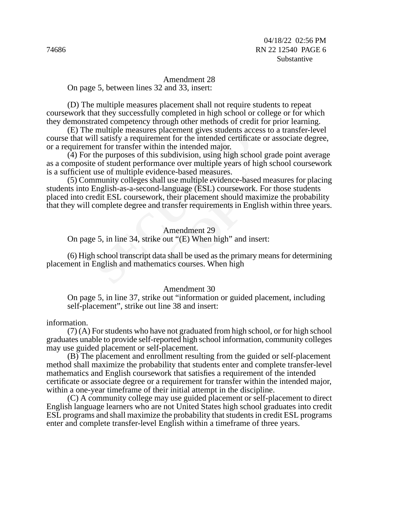Amendment 28 On page 5, between lines 32 and 33, insert:

(D) The multiple measures placement shall not require students to repeat coursework that they successfully completed in high school or college or for which they demonstrated competency through other methods of credit for prior learning.

(E) The multiple measures placement gives students access to a transfer-level course that will satisfy a requirement for the intended certificate or associate degree, or a requirement for transfer within the intended major.

(4) For the purposes of this subdivision, using high school grade point average as a composite of student performance over multiple years of high school coursework is a sufficient use of multiple evidence-based measures.

multiple measures placement gives students accell satisfy a requirement for the intended certificant for transfer within the intended major.<br>the purposes of this subdivision, using high schools of student performance over I use multiple evidence-based n<br>anguage (ESL) coursework. For<br>their placement should maxim<br>ransfer requirements in English<br>Amendment 29<br>out "(E) When high" and insert<br>a shall be used as the primary matics courses. When hig (5) Community colleges shall use multiple evidence-based measures for placing students into English-as-a-second-language (ESL) coursework. For those students placed into credit ESL coursework, their placement should maximize the probability that they will complete degree and transfer requirements in English within three years.

#### Amendment 29

On page 5, in line 34, strike out "(E) When high" and insert:

(6) High school transcript data shall be used as the primary means for determining placement in English and mathematics courses. When high

#### Amendment 30

On page 5, in line 37, strike out "information or guided placement, including self-placement", strike out line 38 and insert:

information.

(7) (A) For students who have not graduated from high school, or for high school graduates unable to provide self-reported high school information, community colleges may use guided placement or self-placement.

(B) The placement and enrollment resulting from the guided or self-placement method shall maximize the probability that students enter and complete transfer-level mathematics and English coursework that satisfies a requirement of the intended certificate or associate degree or a requirement for transfer within the intended major, within a one-year timeframe of their initial attempt in the discipline.

(C) A community college may use guided placement or self-placement to direct English language learners who are not United States high school graduates into credit ESL programs and shall maximize the probability that students in credit ESL programs enter and complete transfer-level English within a timeframe of three years.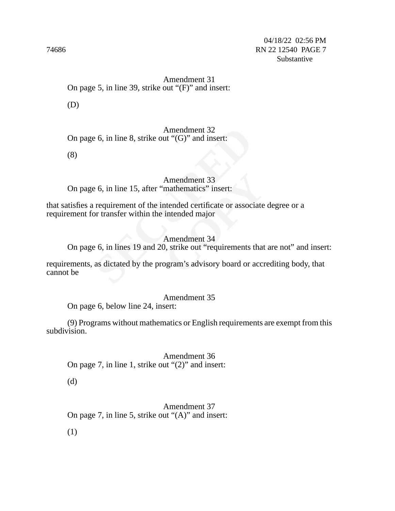Amendment 31 On page 5, in line 39, strike out "(F)" and insert:

(D)

Amendment 32 On page 6, in line 8, strike out "(G)" and insert:

(8)

Amendment 33 On page 6, in line 15, after "mathematics" insert:

that satisfies a requirement of the intended certificate or associate degree or a requirement for transfer within the intended major

Amendment 32<br>
E 6, in line 8, strike out "(G)" and insert:<br>
Amendment 33<br>
E 6, in line 15, after "mathematics" insert:<br>
requirement of the intended certificate or association transfer within the intended major<br>
Amendment 3 Amendment 33<br>
mathematics" insert:<br>
itended certificate or associate<br>
intended major<br>
Amendment 34<br>
), strike out "requirements that<br>
ogram's advisory board or accr Amendment 34 On page 6, in lines 19 and 20, strike out "requirements that are not" and insert:

requirements, as dictated by the program's advisory board or accrediting body, that cannot be

Amendment 35 On page 6, below line 24, insert:

(9) Programs without mathematics or English requirements are exempt from this subdivision.

Amendment 36 On page 7, in line 1, strike out "(2)" and insert:

(d)

Amendment 37 On page 7, in line 5, strike out "(A)" and insert:

(1)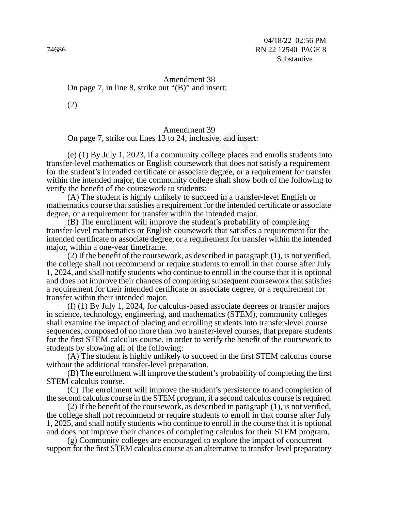Amendment 38 On page 7, in line 8, strike out "(B)" and insert:

(2)

## Amendment 39

On page 7, strike out lines 13 to 24, inclusive, and insert:

Amendment 39<br>
27, strike out lines 13 to 24, inclusive, and inser<br>
3y July 1, 2023, if a community college places a<br>
mathematics or English coursework that does no<br>
t's intended certificate or associate degree, or a r<br>
and (e) (1) By July 1, 2023, if a community college places and enrolls students into transfer-level mathematics or English coursework that does not satisfy a requirement for the student's intended certificate or associate degree, or a requirement for transfer within the intended major, the community college shall show both of the following to verify the benefit of the coursework to students:

(A) The student is highly unlikely to succeed in a transfer-level English or mathematics course that satisfies a requirement for the intended certificate or associate degree, or a requirement for transfer within the intended major.

Example to associate degree, or a requinduity college shall show both<br>
cost to students:<br>
Example shall show both<br>
cost to succeed in a transfer-le-<br>
requirement for the intended cer-<br>
revithin the intended major.<br>
rowe th (B) The enrollment will improve the student's probability of completing transfer-level mathematics or English coursework that satisfies a requirement for the intended certificate or associate degree, or a requirement for transfer within the intended major, within a one-year timeframe.

(2) If the benefit of the coursework, as described in paragraph (1), is not verified, the college shall not recommend or require students to enroll in that course after July 1, 2024, and shall notify students who continue to enroll in the course that it is optional and does not improve their chances of completing subsequent coursework that satisfies a requirement for their intended certificate or associate degree, or a requirement for transfer within their intended major.

(f) (1) By July 1, 2024, for calculus-based associate degrees or transfer majors in science, technology, engineering, and mathematics (STEM), community colleges shall examine the impact of placing and enrolling students into transfer-level course sequences, composed of no more than two transfer-level courses, that prepare students for the first STEM calculus course, in order to verify the benefit of the coursework to students by showing all of the following:

(A) The student is highly unlikely to succeed in the first STEM calculus course without the additional transfer-level preparation.

(B) The enrollment will improve the student's probability of completing the first STEM calculus course.

(C) The enrollment will improve the student's persistence to and completion of the second calculus course in the STEM program, if a second calculus course is required.

(2) If the benefit of the coursework, as described in paragraph (1), is not verified, the college shall not recommend or require students to enroll in that course after July 1, 2025, and shall notify students who continue to enroll in the course that it is optional and does not improve their chances of completing calculus for their STEM program.

(g) Community colleges are encouraged to explore the impact of concurrent support for the first STEM calculus course as an alternative to transfer-level preparatory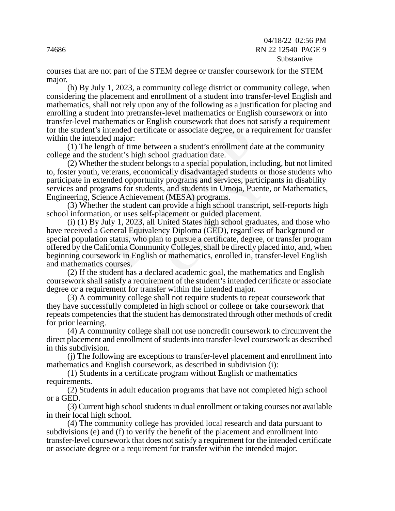### 04/18/22 02:56 PM 74686 RN 22 12540 PAGE 9 Substantive

courses that are not part of the STEM degree or transfer coursework for the STEM major.

(h) By July 1, 2023, a community college district or community college, when considering the placement and enrollment of a student into transfer-level English and mathematics, shall not rely upon any of the following as a justification for placing and enrolling a student into pretransfer-level mathematics or English coursework or into transfer-level mathematics or English coursework that does not satisfy a requirement for the student's intended certificate or associate degree, or a requirement for transfer within the intended major:

(1) The length of time between a student's enrollment date at the community college and the student's high school graduation date.

(2) Whether the student belongs to a special population, including, but not limited to, foster youth, veterans, economically disadvantaged students or those students who participate in extended opportunity programs and services, participants in disability services and programs for students, and students in Umoja, Puente, or Mathematics, Engineering, Science Achievement (MESA) programs.

(3) Whether the student can provide a high school transcript, self-reports high school information, or uses self-placement or guided placement.

t's intended certificate or associate degree, or a r<br>
ended major:<br>
length of time between a student's enrollment d<br>
e student's high school graduation date.<br>
ther the student belongs to a special population, in<br>
h, vetera Early disadvantaged students of<br>programs and services, partici<br>, and students in Umoja, Puent<br>(MESA) programs.<br>provide a high school transcrip<br>nement or guided placement.<br>nited States high school gradua<br>zy Diploma (GED), r (i) (1) By July 1, 2023, all United States high school graduates, and those who have received a General Equivalency Diploma (GED), regardless of background or special population status, who plan to pursue a certificate, degree, or transfer program offered by the California Community Colleges, shall be directly placed into, and, when beginning coursework in English or mathematics, enrolled in, transfer-level English and mathematics courses.

(2) If the student has a declared academic goal, the mathematics and English coursework shall satisfy a requirement of the student's intended certificate or associate degree or a requirement for transfer within the intended major.

(3) A community college shall not require students to repeat coursework that they have successfully completed in high school or college or take coursework that repeats competencies that the student has demonstrated through other methods of credit for prior learning.

(4) A community college shall not use noncredit coursework to circumvent the direct placement and enrollment of students into transfer-level coursework as described in this subdivision.

(j) The following are exceptions to transfer-level placement and enrollment into mathematics and English coursework, as described in subdivision (i):

(1) Students in a certificate program without English or mathematics requirements.

(2) Students in adult education programs that have not completed high school or a GED.

(3) Current high school students in dual enrollment or taking courses not available in their local high school.

(4) The community college has provided local research and data pursuant to subdivisions (e) and (f) to verify the benefit of the placement and enrollment into transfer-level coursework that does not satisfy a requirement for the intended certificate or associate degree or a requirement for transfer within the intended major.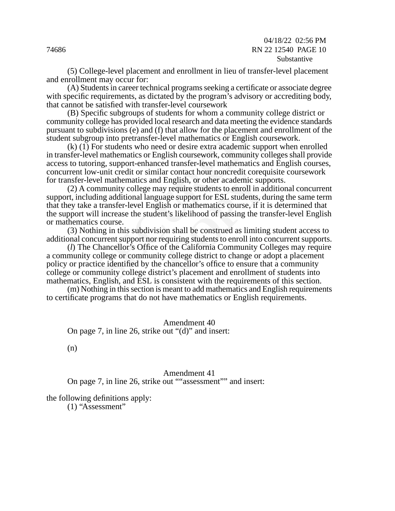04/18/22 02:56 PM 74686 RN 22 12540 PAGE 10 Substantive

(5) College-level placement and enrollment in lieu of transfer-level placement and enrollment may occur for:

(A) Students in career technical programs seeking a certificate or associate degree with specific requirements, as dictated by the program's advisory or accrediting body, that cannot be satisfied with transfer-level coursework

(B) Specific subgroups of students for whom a community college district or community college has provided local research and data meeting the evidence standards pursuant to subdivisions (e) and (f) that allow for the placement and enrollment of the student subgroup into pretransfer-level mathematics or English coursework.

bdivisions (e) and (f) that allow for the placement<br>pup into pretransfer-level mathematics or Englis<br>For students who need or desire extra academic<br>el mathematics or English coursework, communit<br>ing, support-enhanced trans (k) (1) For students who need or desire extra academic support when enrolled in transfer-level mathematics or English coursework, community colleges shall provide access to tutoring, support-enhanced transfer-level mathematics and English courses, concurrent low-unit credit or similar contact hour noncredit corequisite coursework for transfer-level mathematics and English, or other academic supports.

In contact hold honcreant cored<br>English, or other academic sup<br>y require students to enroll in a<br>age support for ESL students, d<br>sh or mathematics course, if it<br>it's likelihood of passing the tra<br>on shall be construed as l (2) A community college may require students to enroll in additional concurrent support, including additional language support for ESL students, during the same term that they take a transfer-level English or mathematics course, if it is determined that the support will increase the student's likelihood of passing the transfer-level English or mathematics course.

(3) Nothing in this subdivision shall be construed as limiting student access to additional concurrent support nor requiring students to enroll into concurrent supports.

(*l*) The Chancellor's Office of the California Community Colleges may require a community college or community college district to change or adopt a placement policy or practice identified by the chancellor's office to ensure that a community college or community college district's placement and enrollment of students into mathematics, English, and ESL is consistent with the requirements of this section.

(m) Nothing in this section is meant to add mathematics and English requirements to certificate programs that do not have mathematics or English requirements.

Amendment 40 On page 7, in line 26, strike out "(d)" and insert:

(n)

#### Amendment 41

On page 7, in line 26, strike out ""assessment"" and insert:

the following definitions apply:

(1) "Assessment"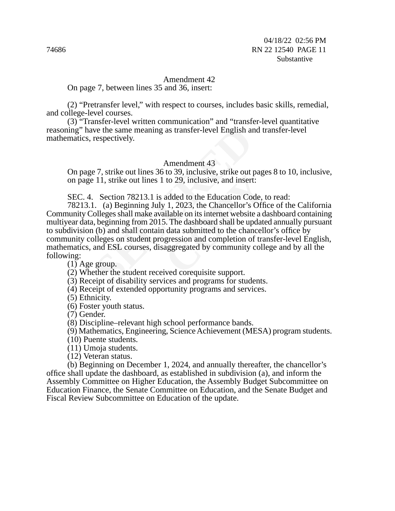#### Amendment 42

On page 7, between lines 35 and 36, insert:

(2) "Pretransfer level," with respect to courses, includes basic skills, remedial, and college-level courses.

(3) "Transfer-level written communication" and "transfer-level quantitative reasoning" have the same meaning as transfer-level English and transfer-level mathematics, respectively.

#### Amendment 43

On page 7, strike out lines 36 to 39, inclusive, strike out pages 8 to 10, inclusive, on page 11, strike out lines 1 to 29, inclusive, and insert:

SEC. 4. Section 78213.1 is added to the Education Code, to read:

we the same meaning as transfer-level English and<br>respectively.<br>Amendment 43<br>27, strike out lines 36 to 39, inclusive, strike out 11, strike out lines 1 to 29, inclusive, and insert<br>Section 78213.1 is added to the Educatio to 29, inclusive, strike out page<br>to 29, inclusive, and insert:<br>added to the Education Code, to<br>7 1, 2023, the Chancellor's Officialable on its internet website a d<br>5. The dashboard shall be update<br>data submitted to the ch 78213.1. (a) Beginning July 1, 2023, the Chancellor's Office of the California Community Colleges shall make available on its internet website a dashboard containing multiyear data, beginning from 2015. The dashboard shall be updated annually pursuant to subdivision (b) and shall contain data submitted to the chancellor's office by community colleges on student progression and completion of transfer-level English, mathematics, and ESL courses, disaggregated by community college and by all the following:

(1) Age group.

(2) Whether the student received corequisite support.

(3) Receipt of disability services and programs for students.

(4) Receipt of extended opportunity programs and services.

(5) Ethnicity.

(6) Foster youth status.

(7) Gender.

(8) Discipline–relevant high school performance bands.

(9) Mathematics, Engineering, Science Achievement (MESA) program students.

(10) Puente students.

(11) Umoja students.

(12) Veteran status.

(b) Beginning on December 1, 2024, and annually thereafter, the chancellor's office shall update the dashboard, as established in subdivision (a), and inform the Assembly Committee on Higher Education, the Assembly Budget Subcommittee on Education Finance, the Senate Committee on Education, and the Senate Budget and Fiscal Review Subcommittee on Education of the update.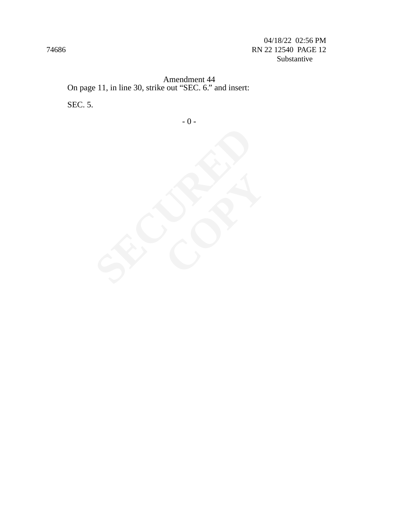04/18/22 02:56 PM 74686 RN 22 12540 PAGE 12 Substantive

Amendment 44 On page 11, in line 30, strike out "SEC. 6." and insert: SEC. 5.

- 0 -

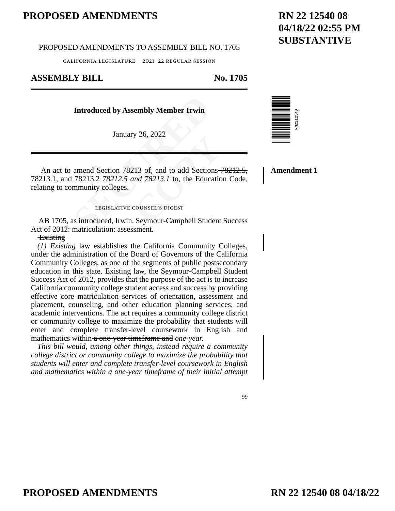PROPOSED AMENDMENTS TO ASSEMBLY BILL NO. 1705

california legislature—2021–22 regular session

## **ASSEMBLY BILL No. 1705**

#### **Introduced by Assembly Member Irwin**

January 26, 2022

Introduced by Assembly Member Irwin<br>January 26, 2022<br>amend Section 78213 of, and to add Section<br>78213.2 78212.5 and 78213.1 to, the Educe<br>mmunity colleges.<br>LEGISLATIVE COUNSEL'S DIGEST<br>as introduced, Irwin. Seymour-Campbel 20, 2022<br>
213 of, and to add Sections–<br>
213 of, and to add Sections–<br>
2013<br>
2013<br>
2013<br>
COUNSEL'S DIGEST<br>
COUNSEL'S DIGEST<br>
COUNSEL'S DIGEST An act to amend Section 78213 of, and to add Sections 78212.5, 78213.1, and 78213.2 *78212.5 and 78213.1* to, the Education Code, relating to community colleges.

#### legislative counsel's digest

AB 1705, as introduced, Irwin. Seymour-Campbell Student Success Act of 2012: matriculation: assessment.

#### **Existing**

*(1) Existing* law establishes the California Community Colleges, under the administration of the Board of Governors of the California Community Colleges, as one of the segments of public postsecondary education in this state. Existing law, the Seymour-Campbell Student Success Act of 2012, provides that the purpose of the act is to increase California community college student access and success by providing effective core matriculation services of orientation, assessment and placement, counseling, and other education planning services, and academic interventions. The act requires a community college district or community college to maximize the probability that students will enter and complete transfer-level coursework in English and mathematics within a one-year timeframe and *one-year.*

*This bill would, among other things, instead require a community college district or community college to maximize the probability that students will enter and complete transfer-level coursework in English and mathematics within a one-year timeframe of their initial attempt*  **Amendment 1**

#### 99



## **RN 22 12540 08 04/18/22 02:55 PM SUBSTANTIVE**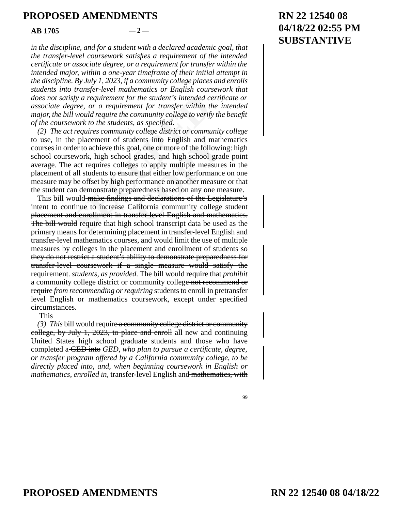#### $AB = 1705$   $-2$  —

*in the discipline, and for a student with a declared academic goal, that the transfer-level coursework satisfies a requirement of the intended certificate or associate degree, or a requirement for transfer within the intended major, within a one-year timeframe of their initial attempt in the discipline. By July 1, 2023, if a community college places and enrolls students into transfer-level mathematics or English coursework that does not satisfy a requirement for the student's intended certificate or associate degree, or a requirement for transfer within the intended major, the bill would require the community college to verify the benefit of the coursework to the students, as specified.* 

sfy a requirement for the student's intended care, or a requirement for transfer within the l would require the community college to verify work to the students, as specified. The requires community college district or com dents into English and mathorial, one or more of the followire grades, and high school grands to apply multiple measure that either low performance or another measure are that either low performance on another measure and *(2) The act requires community college district or community college* to use, in the placement of students into English and mathematics courses in order to achieve this goal, one or more of the following: high school coursework, high school grades, and high school grade point average. The act requires colleges to apply multiple measures in the placement of all students to ensure that either low performance on one measure may be offset by high performance on another measure or that the student can demonstrate preparedness based on any one measure.

This bill would make findings and declarations of the Legislature's intent to continue to increase California community college student placement and enrollment in transfer-level English and mathematics. The bill would require that high school transcript data be used as the primary means for determining placement in transfer-level English and transfer-level mathematics courses, and would limit the use of multiple measures by colleges in the placement and enrollment of students so they do not restrict a student's ability to demonstrate preparedness for transfer-level coursework if a single measure would satisfy the requirement. *students, as provided.* The bill would require that *prohibit* a community college district or community college not recommend or require *from recommending or requiring* students to enroll in pretransfer level English or mathematics coursework, except under specified circumstances.

This

*(3) This* bill would require a community college district or community college, by July 1, 2023, to place and enroll all new and continuing United States high school graduate students and those who have completed a GED into *GED, who plan to pursue a certificate, degree, or transfer program offered by a California community college, to be directly placed into, and, when beginning coursework in English or mathematics, enrolled in,* transfer-level English and mathematics, with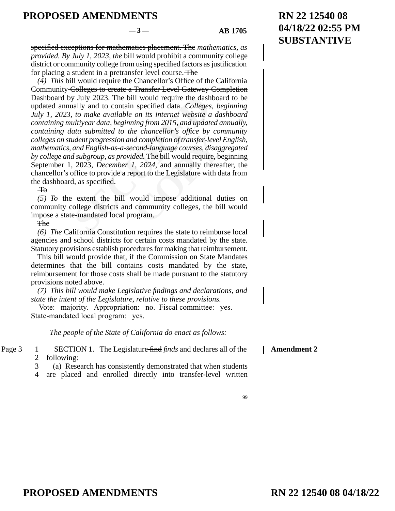#### $-3$  — **AB 1705**

99

specified exceptions for mathematics placement. The *mathematics, as provided. By July 1, 2023, the* bill would prohibit a community college district or community college from using specified factors as justification for placing a student in a pretransfer level course. The

y July 2023. The bill would require the dash<br>hally and to contain specified data. Colleges<br>to make available on its internet website a<br>ultiyear data, beginning from 2015, and updata<br>ata submitted to the chancellor's office *d completion of transfer-level*<br>cond-language courses, disag,<br>ded. The bill would require, be<br>l, 2024, and annually therea<br>port to the Legislature with d:<br>would impose additional du<br>community colleges, the bil<br>ogram. *(4) This* bill would require the Chancellor's Office of the California Community Colleges to create a Transfer Level Gateway Completion Dashboard by July 2023. The bill would require the dashboard to be updated annually and to contain specified data. *Colleges, beginning July 1, 2023, to make available on its internet website a dashboard containing multiyear data, beginning from 2015, and updated annually, containing data submitted to the chancellor's office by community colleges on student progression and completion of transfer-level English, mathematics, and English-as-a-second-language courses, disaggregated by college and subgroup, as provided.* The bill would require, beginning September 1, 2023, *December 1, 2024,* and annually thereafter, the chancellor's office to provide a report to the Legislature with data from the dashboard, as specified.

 $\overline{40}$ 

*(5) To* the extent the bill would impose additional duties on community college districts and community colleges, the bill would impose a state-mandated local program.

The

*(6) The* California Constitution requires the state to reimburse local agencies and school districts for certain costs mandated by the state. Statutory provisions establish procedures for making that reimbursement.

This bill would provide that, if the Commission on State Mandates determines that the bill contains costs mandated by the state, reimbursement for those costs shall be made pursuant to the statutory provisions noted above.

*(7) This bill would make Legislative findings and declarations, and state the intent of the Legislature, relative to these provisions.* 

Vote: majority. Appropriation: no. Fiscal committee: yes. State-mandated local program: yes.

*The people of the State of California do enact as follows:* 

SECTION 1. The Legislature find *finds* and declares all of the following: Page  $3 \t 1$ 2 **Amendment 2**

- (a) Research has consistently demonstrated that when students 3
- are placed and enrolled directly into transfer-level written 4

## **RN 22 12540 08 04/18/22 02:55 PM SUBSTANTIVE**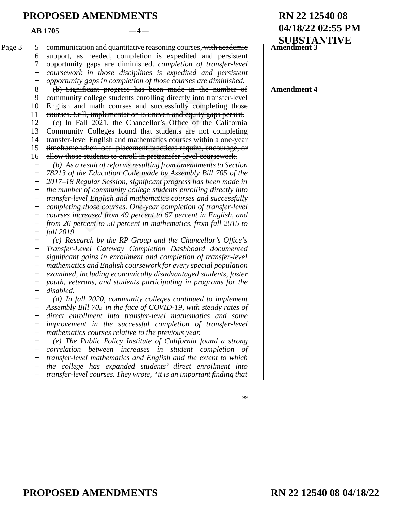$AR\ 1705$   $-4$  —

communication and quantitative reasoning courses, with academic Page 3 5

> support, as needed, completion is expedited and persistent 6

> opportunity gaps are diminished. *completion of transfer-level*  7

> *coursework in those disciplines is expedited and persistent*   $+$

*opportunity gaps in completion of those courses are diminished.*  $+$ 

(b) Significant progress has been made in the number of 8

community college students enrolling directly into transfer-level 9

English and math courses and successfully completing those 10

courses. Still, implementation is uneven and equity gaps persist. 11

(c) In Fall 2021, the Chancellor's Office of the California 12

Community Colleges found that students are not completing 13

transfer-level English and mathematics courses within a one-year 14

timeframe when local placement practices require, encourage, or allow those students to enroll in pretransfer-level coursework. 15 16

*(b) As a result of reforms resulting from amendments to Section*  +

*78213 of the Education Code made by Assembly Bill 705 of the*   $+$ 

*2017–18 Regular Session, significant progress has been made in*  +

*the number of community college students enrolling directly into*   $+$ 

*transfer-level English and mathematics courses and successfully*  +

*completing those courses. One-year completion of transfer-level*  +

hity college students enrolling directly into tr<br>and math courses and successfully compl<br>Still, implementation is uneven and equity ga<br>Fall 2021, the Chancellor's Office of the<br>nity Colleges found that students are not<br>lev athematics courses within a comment practices require, encoursel<br>
Il in pretransfer-level coursev<br> *Course in a mendments to*<br> *Comment in a mendments to*<br> *Comment progress has been*<br> *Comment in a methematics from fall*<br> *courses increased from 49 percent to 67 percent in English, and from 26 percent to 50 percent in mathematics, from fall 2015 to*  + +

*fall 2019. (c) Research by the RP Group and the Chancellor's Office's Transfer-Level Gateway Completion Dashboard documented significant gains in enrollment and completion of transfer-level mathematics and English coursework for every special population*  + + + +  $+$ 

*examined, including economically disadvantaged students, foster*  +

*youth, veterans, and students participating in programs for the disabled.*  + +

*(d) In fall 2020, community colleges continued to implement Assembly Bill 705 in the face of COVID-19, with steady rates of direct enrollment into transfer-level mathematics and some improvement in the successful completion of transfer-level mathematics courses relative to the previous year.*   $^{+}$ + + + +

*(e) The Public Policy Institute of California found a strong correlation between increases in student completion of transfer-level mathematics and English and the extent to which the college has expanded students' direct enrollment into*  + +  $+$ +

*transfer-level courses. They wrote, "it is an important finding that*   $+$ 

## **RN 22 12540 08 04/18/22 02:55 PM SUBSTANTIVE Amendment 3**

**Amendment 4**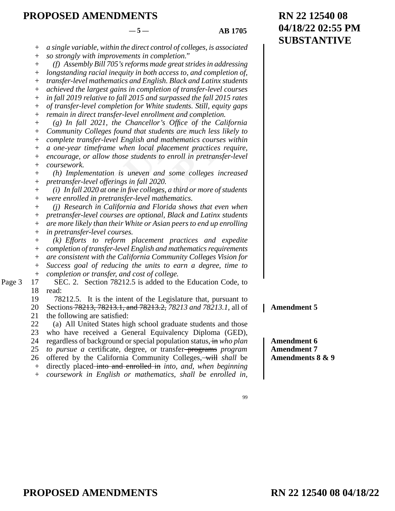#### $-5 -$  **AB 1705**

| $^{+}$    | a single variable, within the direct control of colleges, is associated |
|-----------|-------------------------------------------------------------------------|
| $^{+}$    | so strongly with improvements in completion."                           |
|           | (f) Assembly Bill 705's reforms made great strides in addressing        |
| $^{+}$    | longstanding racial inequity in both access to, and completion of,      |
| $^{+}$    | transfer-level mathematics and English. Black and Latinx students       |
| $\! + \!$ | achieved the largest gains in completion of transfer-level courses      |
| $^{+}$    | in fall 2019 relative to fall 2015 and surpassed the fall 2015 rates    |
| $^{+}$    | of transfer-level completion for White students. Still, equity gaps     |
|           | remain in direct transfer-level enrollment and completion.              |
| $^{+}$    | $(g)$ In fall 2021, the Chancellor's Office of the California           |
| $^{+}$    | Community Colleges found that students are much less likely to          |
| $^{+}$    | complete transfer-level English and mathematics courses within          |
| $^{+}$    | a one-year timeframe when local placement practices require,            |
| $^{+}$    | encourage, or allow those students to enroll in pretransfer-level       |
| $^{+}$    | coursework.                                                             |
|           | (h) Implementation is uneven and some colleges increased                |
| $^{+}$    | pretransfer-level offerings in fall 2020.                               |
| $^{+}$    | $(i)$ In fall 2020 at one in five colleges, a third or more of students |
| $^{+}$    | were enrolled in pretransfer-level mathematics.                         |
| $^{+}$    | (i) Research in California and Florida shows that even when             |
| $^{+}$    | pretransfer-level courses are optional, Black and Latinx students       |
| $^{+}$    | are more likely than their White or Asian peers to end up enrolling     |
| $^{+}$    | in pretransfer-level courses.                                           |
| $^{+}$    | (k) Efforts to reform placement practices and expedite                  |
| $^{+}$    | completion of transfer-level English and mathematics requirements       |
| $^{+}$    | are consistent with the California Community Colleges Vision for        |
| $^{+}$    | Success goal of reducing the units to earn a degree, time to            |
| $^{+}$    | completion or transfer, and cost of college.                            |
| 17        | SEC. 2. Section 78212.5 is added to the Education Code, to              |
| 18        | read:                                                                   |
| 19        | It is the intent of the Legislature that, pursuant to<br>78212.5.       |
| 20        | Sections-78213, 78213.1, and 78213.2, 78213 and 78213.1, all of         |
| 21        | the following are satisfied:                                            |
| 22        | (a) All United States high school graduate students and those           |
| 23        | who have received a General Equivalency Diploma (GED),                  |
| 24        | regardless of background or special population status, in who plan      |
| 25        | to pursue a certificate, degree, or transfer-programs program           |
| 26        | offered by the California Community Colleges, will shall be             |
| $+$       | directly placed-into and enrolled in <i>into</i> , and, when beginning  |
| $+$       | coursework in English or mathematics, shall be enrolled in,             |

**RN 22 12540 08 04/18/22 02:55 PM SUBSTANTIVE**

**Amendment 5**

**Amendment 6 Amendment 7 Amendments 8 & 9**

99

Page 3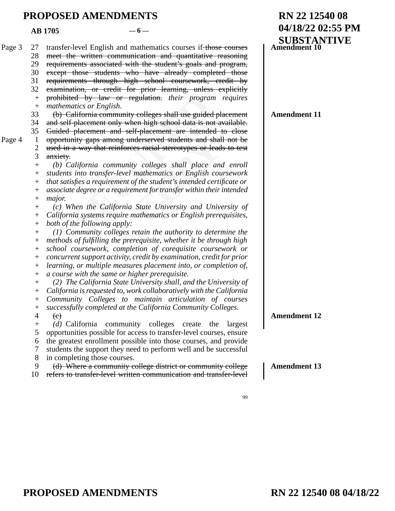**RN 22 12540 08 04/18/22 02:55 PM SUBSTANTIVE** ed by law or regulation. *their* program<br>atics or English.<br>alifornia community colleges shall use guided-<br>placement only when high school data is no<br>placement and self-placement are intende<br>inty gaps among underserved stud read students and shall<br>
es racial stereotypes or lead<br>
y colleges shall place and<br>
mathematics or English cou<br>
of the student's intended certig<br>
ment for transfer within their<br>
State University and Univer<br>
nathematics or transfer-level English and mathematics courses if those courses meet the written communication and quantitative reasoning requirements associated with the student's goals and program, except those students who have already completed those requirements through high school coursework, credit by examination, or credit for prior learning, unless explicitly prohibited by law or regulation. *their program requires mathematics or English.* (b) California community colleges shall use guided placement and self-placement only when high school data is not available. Guided placement and self-placement are intended to close opportunity gaps among underserved students and shall not be used in a way that reinforces racial stereotypes or leads to test anxiety. *(b) California community colleges shall place and enroll students into transfer-level mathematics or English coursework that satisfies a requirement of the student's intended certificate or associate degree or a requirement for transfer within their intended major. (c) When the California State University and University of California systems require mathematics or English prerequisites, both of the following apply: (1) Community colleges retain the authority to determine the methods of fulfilling the prerequisite, whether it be through high school coursework, completion of corequisite coursework or concurrent support activity, credit by examination, credit for prior learning, or multiple measures placement into, or completion of, a course with the same or higher prerequisite. (2) The California State University shall, and the University of California is requested to, work collaboratively with the California Community Colleges to maintain articulation of courses successfully completed at the California Community Colleges.*   $\left(\mathrm{e}\right)$ *(d)* California community colleges create the largest opportunities possible for access to transfer-level courses, ensure the greatest enrollment possible into those courses, and provide students the support they need to perform well and be successful in completing those courses. (d) Where a community college district or community college refers to transfer-level written communication and transfer-level  $AB = 1705$   $-6$  — Page 3 27 28 29 30 31 32 +  $+$ 33 34 35 Page  $4 \quad 1$ 2 3 + + +  $+$ + +  $+$ + +  $+$  $+$ +  $+$ +  $+$ + +  $+$ 4  $+$ 5 6 7 8 9 10 **Amendment 10 Amendment 11 Amendment 12 Amendment 13**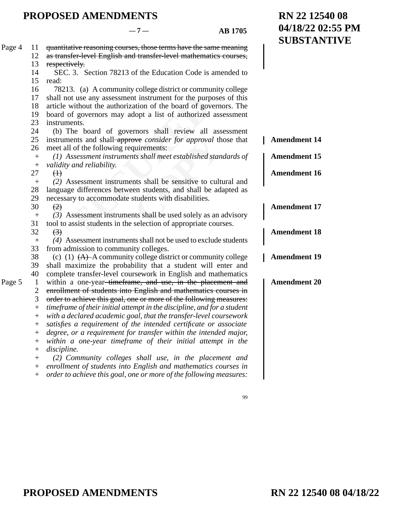**RN 22 12540 08**

**04/18/22 02:55 PM**

|        |                  |                                                                         | <b>SUBSTANTIVE</b>  |
|--------|------------------|-------------------------------------------------------------------------|---------------------|
| Page 4 | 11               | quantitative reasoning courses, those terms have the same meaning       |                     |
|        | 12               | as transfer-level English and transfer-level mathematics courses,       |                     |
|        | 13               | respectively.                                                           |                     |
|        | 14               | SEC. 3. Section 78213 of the Education Code is amended to               |                     |
|        | 15               | read:                                                                   |                     |
|        | 16               | 78213. (a) A community college district or community college            |                     |
|        | 17               | shall not use any assessment instrument for the purposes of this        |                     |
|        | 18               | article without the authorization of the board of governors. The        |                     |
|        | 19               | board of governors may adopt a list of authorized assessment            |                     |
|        | 23               | instruments.                                                            |                     |
|        | 24               | (b) The board of governors shall review all assessment                  |                     |
|        | 25               | instruments and shall-approve consider for approval those that          | <b>Amendment 14</b> |
|        | 26               | meet all of the following requirements:                                 |                     |
|        | $^{+}$           | (1) Assessment instruments shall meet established standards of          | <b>Amendment 15</b> |
|        | $^{+}$           | validity and reliability.                                               |                     |
|        | 27               | $\oplus$                                                                | <b>Amendment 16</b> |
|        | $^{+}$           | (2) Assessment instruments shall be sensitive to cultural and           |                     |
|        | 28               | language differences between students, and shall be adapted as          |                     |
|        | 29               | necessary to accommodate students with disabilities.                    |                     |
|        | 30               | $\left(\frac{2}{2}\right)$                                              | <b>Amendment 17</b> |
|        | $^{+}$           | $(3)$ Assessment instruments shall be used solely as an advisory        |                     |
|        | 31               | tool to assist students in the selection of appropriate courses.        |                     |
|        | 32               | $\left(\frac{1}{2}\right)$                                              | <b>Amendment 18</b> |
|        | $\boldsymbol{+}$ | (4) Assessment instruments shall not be used to exclude students        |                     |
|        | 33               | from admission to community colleges.                                   |                     |
|        | 38               | (c) (1) $(A)$ -A community college district or community college        | <b>Amendment 19</b> |
|        | 39               | shall maximize the probability that a student will enter and            |                     |
|        | 40               | complete transfer-level coursework in English and mathematics           |                     |
| Page 5 | 1                | within a one-year <del>-timeframe, and use, in the placement and</del>  | <b>Amendment 20</b> |
|        | $\overline{c}$   | enrollment of students into English and mathematics courses in          |                     |
|        | 3                | order to achieve this goal, one or more of the following measures:      |                     |
|        | $^{+}$           | timeframe of their initial attempt in the discipline, and for a student |                     |
|        | $^{+}$           | with a declared academic goal, that the transfer-level coursework       |                     |
|        | $^{+}$           | satisfies a requirement of the intended certificate or associate        |                     |
|        | $^+$             | degree, or a requirement for transfer within the intended major,        |                     |
|        | $+$              | within a one-year timeframe of their initial attempt in the             |                     |
|        | $^{+}$           | discipline.                                                             |                     |
|        | $^{+}$           | (2) Community colleges shall use, in the placement and                  |                     |
|        | $^{+}$           | enrollment of students into English and mathematics courses in          |                     |
|        | $^{+}$           | order to achieve this goal, one or more of the following measures:      |                     |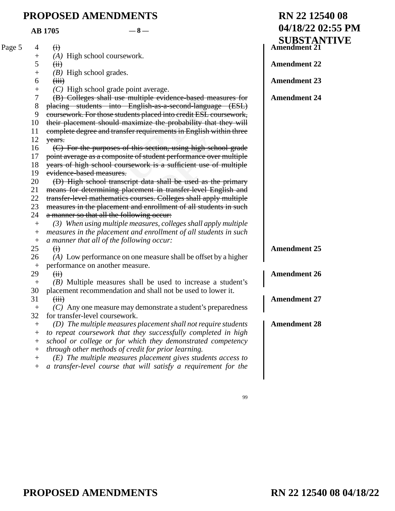| <b>PROPOSED AMENDMENTS</b> |                    |                                                                   | RN 22 12540 08                     |
|----------------------------|--------------------|-------------------------------------------------------------------|------------------------------------|
|                            |                    | $-8-$<br><b>AB</b> 1705                                           | 04/18/22 02:55 PM                  |
|                            |                    |                                                                   | <b>SUBSTANTIVE</b><br>Amendment 21 |
| Page 5                     | 4                  | $\bigoplus$                                                       |                                    |
|                            | $^{+}$             | $(A)$ High school coursework.                                     |                                    |
|                            | 5                  | $\overline{f}$                                                    | <b>Amendment 22</b>                |
|                            | $\! +$             | $(B)$ High school grades.                                         |                                    |
|                            | 6                  | (iii)                                                             | <b>Amendment 23</b>                |
|                            | $^{+}$             | $(C)$ High school grade point average.                            |                                    |
|                            | 7                  | (B) Colleges shall use multiple evidence-based measures for       | <b>Amendment 24</b>                |
|                            | 8                  | placing students into English-as-a-second-language (ESL)          |                                    |
|                            | 9                  | coursework. For those students placed into credit ESL coursework, |                                    |
|                            | 10                 | their placement should maximize the probability that they will    |                                    |
|                            | 11                 | complete degree and transfer requirements in English within three |                                    |
|                            | 12                 | years.                                                            |                                    |
|                            | 16                 | (C) For the purposes of this section, using high school grade     |                                    |
|                            | 17                 | point average as a composite of student performance over multiple |                                    |
|                            | 18                 | years of high school coursework is a sufficient use of multiple   |                                    |
|                            | 19                 | evidence-based measures.                                          |                                    |
|                            | 20                 | (D) High school transcript data shall be used as the primary      |                                    |
|                            | 21                 | means for determining placement in transfer-level English and     |                                    |
|                            | 22                 | transfer-level mathematics courses. Colleges shall apply multiple |                                    |
|                            | 23                 | measures in the placement and enrollment of all students in such  |                                    |
|                            | 24                 | a manner so that all the following occur:                         |                                    |
|                            | $^{+}$             | (3) When using multiple measures, colleges shall apply multiple   |                                    |
|                            | $\mathrm{+}$       | measures in the placement and enrollment of all students in such  |                                    |
|                            | $\pm$              | a manner that all of the following occur:                         |                                    |
|                            | 25                 | $\Theta$                                                          | <b>Amendment 25</b>                |
|                            | 26                 | (A) Low performance on one measure shall be offset by a higher    |                                    |
|                            | $^+$               | performance on another measure.                                   |                                    |
|                            | 29                 | $\overline{f}$                                                    | <b>Amendment 26</b>                |
|                            | $^{+}$             | $(B)$ Multiple measures shall be used to increase a student's     |                                    |
|                            | 30                 | placement recommendation and shall not be used to lower it.       |                                    |
|                            | 31                 | $f$ $\overline{f}$                                                | <b>Amendment 27</b>                |
|                            | $^{+}$             | (C) Any one measure may demonstrate a student's preparedness      |                                    |
|                            | 32                 | for transfer-level coursework.                                    |                                    |
|                            | $^{+}$             | (D) The multiple measures placement shall not require students    | <b>Amendment 28</b>                |
|                            | $\hspace{0.1mm} +$ | to repeat coursework that they successfully completed in high     |                                    |
|                            | $\hspace{0.1mm} +$ | school or college or for which they demonstrated competency       |                                    |
|                            | $\hspace{0.1mm} +$ | through other methods of credit for prior learning.               |                                    |
|                            | $^{+}$             | $(E)$ The multiple measures placement gives students access to    |                                    |
|                            | $^{+}$             | a transfer-level course that will satisfy a requirement for the   |                                    |
|                            |                    |                                                                   |                                    |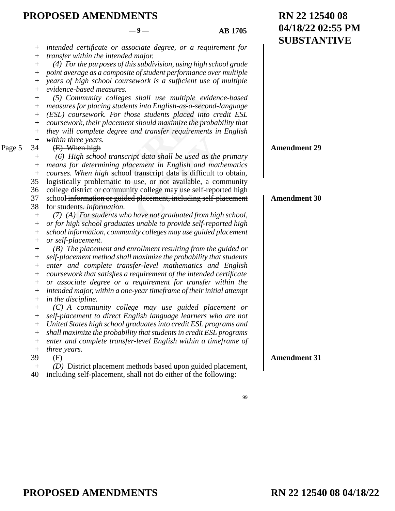Page 5

**RN 22 12540 08**

**04/18/22 02:55 PM**

|                                  |                                                                      | <b>SUBSTANTIVE</b>  |
|----------------------------------|----------------------------------------------------------------------|---------------------|
| $^{+}$                           | intended certificate or associate degree, or a requirement for       |                     |
| $\hspace{0.1mm} +$               | transfer within the intended major.                                  |                     |
| $^{+}$                           | (4) For the purposes of this subdivision, using high school grade    |                     |
| $^{+}$                           | point average as a composite of student performance over multiple    |                     |
| $^{+}$                           | years of high school coursework is a sufficient use of multiple      |                     |
| $^{+}$                           | evidence-based measures.                                             |                     |
| $^{+}$                           | (5) Community colleges shall use multiple evidence-based             |                     |
| $^+$                             | measures for placing students into English-as-a-second-language      |                     |
| $^{+}$                           | (ESL) coursework. For those students placed into credit ESL          |                     |
| $^{+}$                           | coursework, their placement should maximize the probability that     |                     |
| $^{+}$                           | they will complete degree and transfer requirements in English       |                     |
| $\! + \!$                        | within three years.                                                  |                     |
| 34                               | $(E)$ When high                                                      | <b>Amendment 29</b> |
| $^{+}$                           | (6) High school transcript data shall be used as the primary         |                     |
| $^{+}$                           | means for determining placement in English and mathematics           |                     |
| $\boldsymbol{+}$                 | courses. When high school transcript data is difficult to obtain,    |                     |
| 35                               | logistically problematic to use, or not available, a community       |                     |
| 36                               | college district or community college may use self-reported high     |                     |
| 37                               | school information or guided placement, including self-placement     | <b>Amendment 30</b> |
| 38                               | for students. information.                                           |                     |
| $^{+}$                           | (7) (A) For students who have not graduated from high school,        |                     |
| $^{+}$                           | or for high school graduates unable to provide self-reported high    |                     |
| $^{+}$                           | school information, community colleges may use guided placement      |                     |
| $^{+}$                           | or self-placement.                                                   |                     |
| $\boldsymbol{+}$                 | $(B)$ The placement and enrollment resulting from the guided or      |                     |
| $^{+}$                           | self-placement method shall maximize the probability that students   |                     |
| $^{+}$                           | enter and complete transfer-level mathematics and English            |                     |
| $^{+}$                           | coursework that satisfies a requirement of the intended certificate  |                     |
| $^{+}$                           | or associate degree or a requirement for transfer within the         |                     |
| $^{+}$                           | intended major, within a one-year timeframe of their initial attempt |                     |
|                                  | in the discipline.                                                   |                     |
| $^{+}$                           | $(C)$ A community college may use guided placement or                |                     |
| $^{+}$                           | self-placement to direct English language learners who are not       |                     |
| $^{+}$                           | United States high school graduates into credit ESL programs and     |                     |
| $\hspace{0.1mm} +$               | shall maximize the probability that students in credit ESL programs  |                     |
| $^{+}$                           | enter and complete transfer-level English within a timeframe of      |                     |
| $\overline{+}$                   | three years.                                                         |                     |
| 39                               | $\oplus$                                                             | <b>Amendment 31</b> |
| $\begin{array}{c} + \end{array}$ | (D) District placement methods based upon guided placement,          |                     |
| 40                               | including self-placement, shall not do either of the following:      |                     |
|                                  |                                                                      |                     |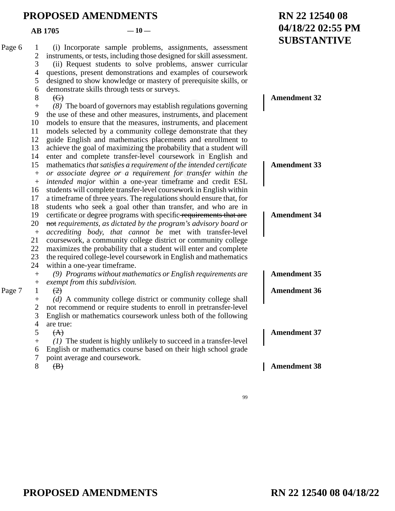#### $AB = 1705$   $-10$

#### **SUBSTANTIVE** ne board of governors may establish regulation<br>of these and other measures, instruments, and<br>to ensure that the measures, instruments, and<br>selected by a community college demonstra<br>nglish and mathematics placements and en<br> atics placements and enroll<br>ing the probability that a student-level coursework in Engl<br>requirement of the intended ce<br>requirement for transfer wi<br>one-year timeframe and cre-<br>ein-level coursework in Englis<br>The regulations (i) Incorporate sample problems, assignments, assessment instruments, or tests, including those designed for skill assessment. (ii) Request students to solve problems, answer curricular questions, present demonstrations and examples of coursework designed to show knowledge or mastery of prerequisite skills, or demonstrate skills through tests or surveys.  $\Theta$ *(8)* The board of governors may establish regulations governing the use of these and other measures, instruments, and placement models to ensure that the measures, instruments, and placement models selected by a community college demonstrate that they guide English and mathematics placements and enrollment to achieve the goal of maximizing the probability that a student will enter and complete transfer-level coursework in English and mathematics *that satisfies a requirement of the intended certificate or associate degree or a requirement for transfer within the intended major* within a one-year timeframe and credit ESL students will complete transfer-level coursework in English within a timeframe of three years. The regulations should ensure that, for students who seek a goal other than transfer, and who are in certificate or degree programs with specific requirements that are not *requirements, as dictated by the program's advisory board or accrediting body, that cannot be* met with transfer-level coursework, a community college district or community college maximizes the probability that a student will enter and complete the required college-level coursework in English and mathematics within a one-year timeframe. *(9) Programs without mathematics or English requirements are exempt from this subdivision.*   $(2)$ *(d)* A community college district or community college shall not recommend or require students to enroll in pretransfer-level English or mathematics coursework unless both of the following are true:  $(A)$ *(1)* The student is highly unlikely to succeed in a transfer-level English or mathematics course based on their high school grade point average and coursework.  $\bigoplus$ Page  $6 \quad 1$ 2 3 4 5 6 8  $+$ 9 10 11 12 13 14 15  $+$  $+$ 16 17 18 19 20  $+$ 21 22 23 24  $+$  $+$ Page 7 1  $+$ 2 3 4 5  $+$ 6 7 8 **Amendment 32 Amendment 33 Amendment 34 Amendment 35 Amendment 36 Amendment 37 Amendment 38**

99

**RN 22 12540 08**

**04/18/22 02:55 PM**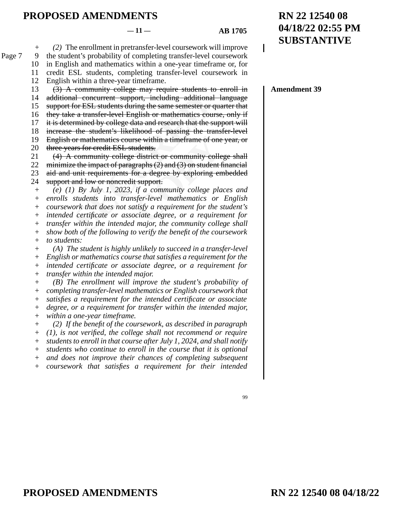#### $-11 -$  **AB 1705**

99

*(2)* The enrollment in pretransfer-level coursework will improve  $+$ Page 7 9

the student's probability of completing transfer-level coursework in English and mathematics within a one-year timeframe or, for 10

credit ESL students, completing transfer-level coursework in 11

English within a three-year timeframe. 12

- (3) A community college may require students to enroll in 13
- additional concurrent support, including additional language 14
- support for ESL students during the same semester or quarter that 15
- they take a transfer-level English or mathematics course, only if 16
- it is determined by college data and research that the support will 17
- increase the student's likelihood of passing the transfer-level 18

English or mathematics course within a timeframe of one year, or three years for credit ESL students. 19 20

(4) A community college district or community college shall 21

minimize the impact of paragraphs (2) and (3) on student financial 22

aid and unit requirements for a degree by exploring embedded 23

support and low or noncredit support. 24

al concurrent support, including additiona<br>for ESL students during the same semester or<br>e a transfer-level English or mathematics cov<br>rmined by college data and research that the :<br>the student's likelihood of passing the t rse within a timeframe of one<br>
udents.<br>
clistrict or community colle<br>
graphs (2) and (3) on student f<br>
or a degree by exploring en<br>
t support.<br> *if a community college pla<br>
sfer-level mathematics or*<br> *a requirement for th (e) (1) By July 1, 2023, if a community college places and enrolls students into transfer-level mathematics or English coursework that does not satisfy a requirement for the student's intended certificate or associate degree, or a requirement for transfer within the intended major, the community college shall show both of the following to verify the benefit of the coursework to students: (A) The student is highly unlikely to succeed in a transfer-level English or mathematics course that satisfies a requirement for the*   $+$ +  $+$ + + +  $+$  $+$  $+$ 

*intended certificate or associate degree, or a requirement for transfer within the intended major.*  + +

*(B) The enrollment will improve the student's probability of completing transfer-level mathematics or English coursework that satisfies a requirement for the intended certificate or associate degree, or a requirement for transfer within the intended major, within a one-year timeframe.*   $+$ + + + +

*(2) If the benefit of the coursework, as described in paragraph (1), is not verified, the college shall not recommend or require students to enroll in that course after July 1, 2024, and shall notify students who continue to enroll in the course that it is optional and does not improve their chances of completing subsequent*   $+$ +  $^{\mathrm{+}}$  $+$  $+$ 

*coursework that satisfies a requirement for their intended*  +

# **RN 22 12540 08 04/18/22**

**RN 22 12540 08 04/18/22 02:55 PM SUBSTANTIVE**

**Amendment 39**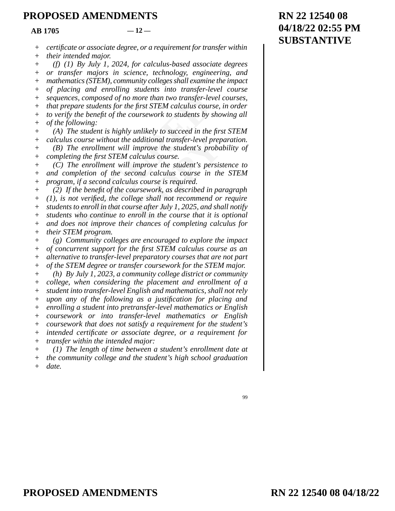|                  | <b>AB</b> 1705                      | $-12-$                                                                                                                             |
|------------------|-------------------------------------|------------------------------------------------------------------------------------------------------------------------------------|
| $^{+}$           |                                     | certificate or associate degree, or a requirement for transfer within                                                              |
| $^{+}$           | their intended major.               |                                                                                                                                    |
| $^{+}$           |                                     | $(f)$ (1) By July 1, 2024, for calculus-based associate degrees                                                                    |
| $^{+}$           |                                     | or transfer majors in science, technology, engineering, and                                                                        |
| $^{+}$           |                                     | mathematics (STEM), community colleges shall examine the impact                                                                    |
| $^{+}$           |                                     | of placing and enrolling students into transfer-level course                                                                       |
| $^{+}$           |                                     | sequences, composed of no more than two transfer-level courses,                                                                    |
| $^{+}$           |                                     | that prepare students for the first STEM calculus course, in order                                                                 |
| $^{+}$           |                                     | to verify the benefit of the coursework to students by showing all                                                                 |
| $+$              | of the following:                   |                                                                                                                                    |
| $^{+}$           |                                     | (A) The student is highly unlikely to succeed in the first STEM                                                                    |
| $^{+}$           |                                     | calculus course without the additional transfer-level preparation.                                                                 |
| $^{+}$           |                                     | $(B)$ The enrollment will improve the student's probability of                                                                     |
| $^{+}$           |                                     | completing the first STEM calculus course.                                                                                         |
| $^{+}$           |                                     | (C) The enrollment will improve the student's persistence to                                                                       |
| $\! +$           |                                     | and completion of the second calculus course in the STEM                                                                           |
| $^{+}$           |                                     | program, if a second calculus course is required.                                                                                  |
| $^{+}$           |                                     | (2) If the benefit of the coursework, as described in paragraph                                                                    |
| $^{+}$           |                                     | $(1)$ , is not verified, the college shall not recommend or require                                                                |
| $^{+}$           |                                     | students to enroll in that course after July 1, 2025, and shall notify                                                             |
| $^{+}$           |                                     | students who continue to enroll in the course that it is optional<br>and does not improve their chances of completing calculus for |
| $^{+}$           | their STEM program.                 |                                                                                                                                    |
| $^{+}$<br>$^{+}$ |                                     | (g) Community colleges are encouraged to explore the impact                                                                        |
| $^{+}$           |                                     | of concurrent support for the first STEM calculus course as an                                                                     |
| $^{+}$           |                                     | alternative to transfer-level preparatory courses that are not part                                                                |
| $^{+}$           |                                     | of the STEM degree or transfer coursework for the STEM major.                                                                      |
|                  |                                     | (h) By July 1, 2023, a community college district or community                                                                     |
| $^{+}$           |                                     | college, when considering the placement and enrollment of a                                                                        |
| $^{+}$           |                                     | student into transfer-level English and mathematics, shall not rely                                                                |
| $\! + \!$        |                                     | upon any of the following as a justification for placing and                                                                       |
| $\! +$           |                                     | enrolling a student into pretransfer-level mathematics or English                                                                  |
| $^{+}$           |                                     | coursework or into transfer-level mathematics or English                                                                           |
| $^{+}$           |                                     | coursework that does not satisfy a requirement for the student's                                                                   |
| $\! + \!$        |                                     | intended certificate or associate degree, or a requirement for                                                                     |
| $^{+}$           | transfer within the intended major: |                                                                                                                                    |
| $^{+}$           |                                     | $(1)$ The length of time between a student's enrollment date at                                                                    |
| $^{+}$           |                                     | the community college and the student's high school graduation                                                                     |
| $^{+}$           | date.                               |                                                                                                                                    |
|                  |                                     |                                                                                                                                    |
|                  |                                     |                                                                                                                                    |
|                  |                                     | 99                                                                                                                                 |

## **RN 22 12540 08 04/18/22 02:55 PM SUBSTANTIVE**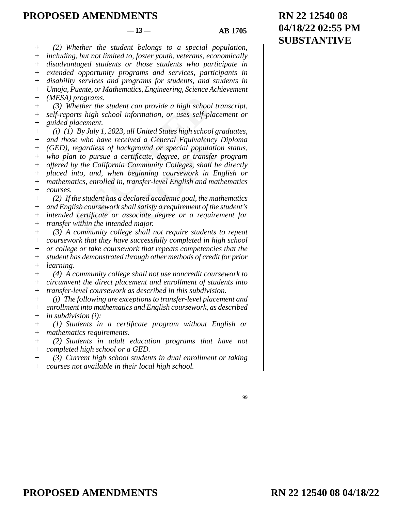#### $-13 - 4B$  1705

*(2) Whether the student belongs to a special population,*   $+$ 

*including, but not limited to, foster youth, veterans, economically disadvantaged students or those students who participate in*   $+$ +

*extended opportunity programs and services, participants in*  +

*disability services and programs for students, and students in*   $^{+}$ 

*Umoja, Puente, or Mathematics, Engineering, Science Achievement (MESA) programs.*  + +

*(3) Whether the student can provide a high school transcript, self-reports high school information, or uses self-placement or guided placement.*   $+$ +  $+$ 

programs.<br>
The ther the student can provide a high school<br>
The student can provide a high school<br>
The student.<br>
Subsement.<br>
Subsement.<br>
Subsember 1992. By July 1, 2023, all United States high school<br>
Subsember 1998. By Jul *ed a General Equivalency i*<br> *Cound or special population*<br> *Coleges, or transfer*<br> *Colleges, shall be*<br> *Colleges, shall be*<br> *Colleges, shall be*<br> *Colleges, shall be*<br> *Colleges, shall be*<br> *Colleges and math*<br> *Colle (i) (1) By July 1, 2023, all United States high school graduates, and those who have received a General Equivalency Diploma (GED), regardless of background or special population status, who plan to pursue a certificate, degree, or transfer program offered by the California Community Colleges, shall be directly placed into, and, when beginning coursework in English or mathematics, enrolled in, transfer-level English and mathematics courses.*   $+$ +  $+$ + + + + +

*(2) If the student has a declared academic goal, the mathematics and English coursework shall satisfy a requirement of the student's intended certificate or associate degree or a requirement for transfer within the intended major.*  +  $^{+}$  $+$ +

*(3) A community college shall not require students to repeat coursework that they have successfully completed in high school or college or take coursework that repeats competencies that the student has demonstrated through other methods of credit for prior*  +  $+$ + +

*learning. (4) A community college shall not use noncredit coursework to*   $+$ +

*circumvent the direct placement and enrollment of students into transfer-level coursework as described in this subdivision.*   $+$ +

*(j) The following are exceptions to transfer-level placement and enrollment into mathematics and English coursework, as described in subdivision (i):*  + + +

*(1) Students in a certificate program without English or mathematics requirements.*   $+$ +

*(2) Students in adult education programs that have not completed high school or a GED.*  + +

*(3) Current high school students in dual enrollment or taking courses not available in their local high school.*   $+$ +

<sup>99</sup>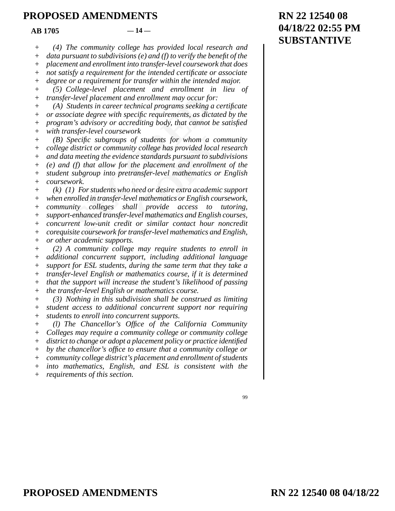#### $AR\ 1705$   $-14$

*(4) The community college has provided local research and data pursuant to subdivisions (e) and (f) to verify the benefit of the placement and enrollment into transfer-level coursework that does*   $+$  $+$  $^{+}$ 

*not satisfy a requirement for the intended certificate or associate*  +

*degree or a requirement for transfer within the intended major.*   $+$ 

*(5) College-level placement and enrollment in lieu of transfer-level placement and enrollment may occur for:*  + +

*(A) Students in career technical programs seeking a certificate or associate degree with specific requirements, as dictated by the program's advisory or accrediting body, that cannot be satisfied with transfer-level coursework*   $+$ +  $+$  $+$ 

level placement and enrollment may occur fo<br>
indents in career technical programs seeking<br>
iate degree with specific requirements, as dic<br>
i's advisory or accrediting body, that cannot<br>
is advisory or accrediting body, tha of students for whom a consponent consponent of the placement and enrollment<br>ce standards pursuant to subce<br>he placement and enrollment<br>ansfer-level mathematics or<br>need or desire extra academic<br>el mathematics or English co *(B) Specific subgroups of students for whom a community college district or community college has provided local research and data meeting the evidence standards pursuant to subdivisions (e) and (f) that allow for the placement and enrollment of the student subgroup into pretransfer-level mathematics or English coursework.*  +  $+$ + +  $+$ +

*(k) (1) For students who need or desire extra academic support when enrolled in transfer-level mathematics or English coursework, community colleges shall provide access to tutoring, support-enhanced transfer-level mathematics and English courses, concurrent low-unit credit or similar contact hour noncredit corequisite coursework for transfer-level mathematics and English, or other academic supports.*   $+$ +  $+$ + + + +

*(2) A community college may require students to enroll in additional concurrent support, including additional language support for ESL students, during the same term that they take a transfer-level English or mathematics course, if it is determined that the support will increase the student's likelihood of passing the transfer-level English or mathematics course.*   $+$ +  $+$ +  $+$ +

*(3) Nothing in this subdivision shall be construed as limiting student access to additional concurrent support nor requiring students to enroll into concurrent supports.*  + + +

*(l) The Chancellor's Office of the California Community Colleges may require a community college or community college district to change or adopt a placement policy or practice identified*   $+$ + +

*by the chancellor's office to ensure that a community college or community college district's placement and enrollment of students*  +  $+$ 

*into mathematics, English, and ESL is consistent with the*  +

*requirements of this section.*   $+$ 

99

## **RN 22 12540 08 04/18/22 02:55 PM SUBSTANTIVE**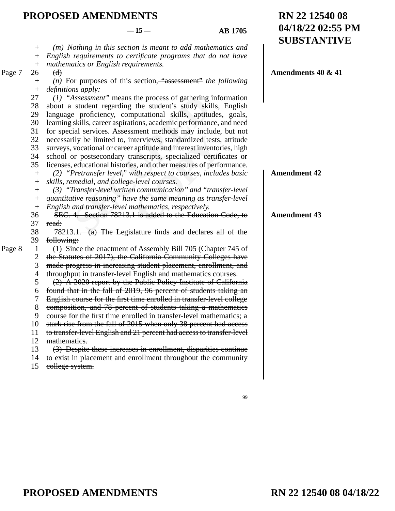|        |                  | $-15-$<br><b>AB</b> 1705                                              | 04/18/22 02:55 PM<br><b>SUBSTANTIVE</b> |
|--------|------------------|-----------------------------------------------------------------------|-----------------------------------------|
|        | $^{+}$           | (m) Nothing in this section is meant to add mathematics and           |                                         |
|        | $^{+}$           | English requirements to certificate programs that do not have         |                                         |
|        | $\boldsymbol{+}$ | mathematics or English requirements.                                  |                                         |
| Page 7 | 26               | $\Theta$                                                              | Amendments 40 & 41                      |
|        | $^{+}$           | (n) For purposes of this section, "assessment" the following          |                                         |
|        | $^{+}$           | definitions apply:                                                    |                                         |
|        | 27               | $(1)$ "Assessment" means the process of gathering information         |                                         |
|        | 28               | about a student regarding the student's study skills, English         |                                         |
|        | 29               | language proficiency, computational skills, aptitudes, goals,         |                                         |
|        | 30               | learning skills, career aspirations, academic performance, and need   |                                         |
|        | 31               | for special services. Assessment methods may include, but not         |                                         |
|        | 32               | necessarily be limited to, interviews, standardized tests, attitude   |                                         |
|        | 33               | surveys, vocational or career aptitude and interest inventories, high |                                         |
|        | 34               | school or postsecondary transcripts, specialized certificates or      |                                         |
|        | 35               | licenses, educational histories, and other measures of performance.   |                                         |
|        | $\boldsymbol{+}$ | (2) "Pretransfer level," with respect to courses, includes basic      | <b>Amendment 42</b>                     |
|        | $\,^+$           | skills, remedial, and college-level courses.                          |                                         |
|        | $^{+}$           | (3) "Transfer-level written communication" and "transfer-level        |                                         |
|        | $^+$             | quantitative reasoning" have the same meaning as transfer-level       |                                         |
|        |                  | English and transfer-level mathematics, respectively.                 |                                         |
|        | 36               | SEC. 4. Section 78213.1 is added to the Education Code, to            | <b>Amendment 43</b>                     |
|        | 37               | read:                                                                 |                                         |
|        | 38               | 78213.1. (a) The Legislature finds and declares all of the            |                                         |
|        | 39               | following:                                                            |                                         |
| Page 8 | $\mathbf{1}$     | (1) Since the enactment of Assembly Bill 705 (Chapter 745 of          |                                         |
|        | $\overline{c}$   | the Statutes of 2017), the California Community Colleges have         |                                         |
|        | 3                | made progress in increasing student placement, enrollment, and        |                                         |
|        | 4                | throughput in transfer-level English and mathematics courses.         |                                         |
|        | 5                | (2) A 2020 report by the Public Policy Institute of California        |                                         |
|        | 6                | found that in the fall of 2019, 96 percent of students taking an      |                                         |
|        | 7                | English course for the first time enrolled in transfer-level college  |                                         |
|        | 8                | composition, and 78 percent of students taking a mathematics          |                                         |
|        | 9                | course for the first time enrolled in transfer-level mathematics; a   |                                         |
|        | 10               | stark rise from the fall of 2015 when only 38 percent had access      |                                         |
|        | 11               | to transfer-level English and 21 percent had access to transfer-level |                                         |
|        | 12               | mathematies.                                                          |                                         |
|        | 13               | (3) Despite these increases in enrollment, disparities continue       |                                         |
|        | 14               | to exist in placement and enrollment throughout the community         |                                         |
|        | 15               | eollege system.                                                       |                                         |

99

**RN 22 12540 08**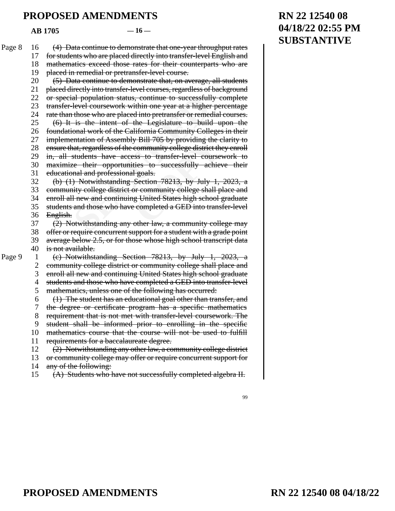**AB 1705 — 16 —** 

| Page 8 | 16             | (4) Data continue to demonstrate that one-year throughput rates       |
|--------|----------------|-----------------------------------------------------------------------|
|        | 17             | for students who are placed directly into transfer-level English and  |
|        | 18             | mathematics exceed those rates for their counterparts who are         |
|        | 19             | placed in remedial or pretransfer-level course.                       |
|        | 20             | (5) Data continue to demonstrate that, on average, all students       |
|        | 21             | placed directly into transfer-level courses, regardless of background |
|        | 22             | or special population status, continue to successfully complete       |
|        | 23             | transfer-level coursework within one year at a higher percentage      |
|        | 24             | rate than those who are placed into pretransfer or remedial courses.  |
|        | 25             | (6) It is the intent of the Legislature to build upon the             |
|        | 26             | foundational work of the California Community Colleges in their       |
|        | 27             | implementation of Assembly Bill 705 by providing the clarity to       |
|        | 28             | ensure that, regardless of the community college district they enroll |
|        | 29             | in, all students have access to transfer-level coursework to          |
|        | 30             | maximize their opportunities to successfully achieve their            |
|        | 31             | educational and professional goals.                                   |
|        | 32             | (b) $(1)$ Notwithstanding Section 78213, by July 1, 2023, a           |
|        | 33             | community college district or community college shall place and       |
|        | 34             | enroll all new and continuing United States high school graduate      |
|        | 35             | students and those who have completed a GED into transfer-level       |
|        | 36             | English.                                                              |
|        | 37             | (2) Notwithstanding any other law, a community college may            |
|        | 38             | offer or require concurrent support for a student with a grade point  |
|        | 39             | average below 2.5, or for those whose high school transcript data     |
|        | 40             | is not available.                                                     |
| Page 9 | $\mathbf{1}$   | (e) Notwithstanding Section 78213, by July 1, 2023, a                 |
|        | $\overline{c}$ | community college district or community college shall place and       |
|        | 3              | enroll all new and continuing United States high school graduate      |
|        | $\overline{4}$ | students and those who have completed a GED into transfer-level       |
|        | 5              | mathematics, unless one of the following has occurred:                |
|        | 6              | (1) The student has an educational goal other than transfer, and      |
|        | 7              | the degree or certificate program has a specific mathematics          |
|        | 8              | requirement that is not met with transfer-level coursework. The       |
|        | 9              | student shall be informed prior to enrolling in the specific          |
|        | 10             | mathematics course that the course will not be used to fulfill        |
|        | 11             | requirements for a baccalaureate degree.                              |
|        | 12             | (2) Notwithstanding any other law, a community college district       |
|        | 13             | or community college may offer or require concurrent support for      |
|        | 14             | any of the following:                                                 |
|        | 15             | (A) Students who have not successfully completed algebra II.          |

## **RN 22 12540 08 04/18/22 02:55 PM SUBSTANTIVE**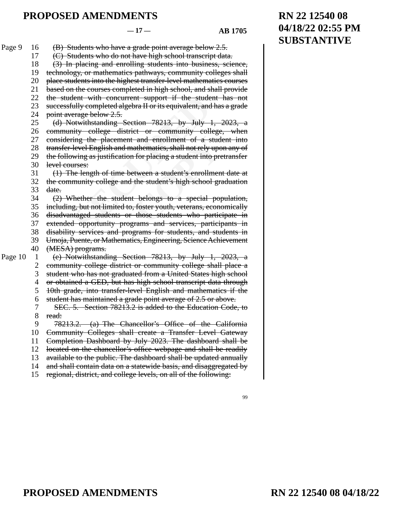#### **— 17 — AB 1705**

99

**RN 22 12540 08**

**SUBSTANTIVE**

**04/18/22 02:55 PM**

lent with concurrent support if the stude<br>
ully completed algebra II or its equivalent, and<br>
erage below 2.5.<br>
otwithstanding Section 78213, by July<br>
iity college district or community coll<br>
ing the placement and enrollmen and enrollment of a student<br>athematics, shall not rely upo<br>for placing a student into pre<br>tween a student's enrollmen<br>the student's high school graph<br>is belongs to a special pop<br>foster youth, veterans, econe<br>those students (B) Students who have a grade point average below 2.5. (C) Students who do not have high school transcript data. (3) In placing and enrolling students into business, science, technology, or mathematics pathways, community colleges shall place students into the highest transfer-level mathematics courses based on the courses completed in high school, and shall provide the student with concurrent support if the student has not successfully completed algebra II or its equivalent, and has a grade point average below 2.5. (d) Notwithstanding Section 78213, by July 1, 2023, a community college district or community college, when considering the placement and enrollment of a student into transfer-level English and mathematics, shall not rely upon any of the following as justification for placing a student into pretransfer level courses: (1) The length of time between a student's enrollment date at the community college and the student's high school graduation date. (2) Whether the student belongs to a special population, including, but not limited to, foster youth, veterans, economically disadvantaged students or those students who participate in extended opportunity programs and services, participants in disability services and programs for students, and students in Umoja, Puente, or Mathematics, Engineering, Science Achievement (MESA) programs. (e) Notwithstanding Section 78213, by July 1, 2023, a community college district or community college shall place a student who has not graduated from a United States high school or obtained a GED, but has high school transcript data through 10th grade, into transfer-level English and mathematics if the student has maintained a grade point average of 2.5 or above. SEC. 5. Section 78213.2 is added to the Education Code, to read: 78213.2. (a) The Chancellor's Office of the California Community Colleges shall create a Transfer Level Gateway Completion Dashboard by July 2023. The dashboard shall be located on the chancellor's office webpage and shall be readily available to the public. The dashboard shall be updated annually and shall contain data on a statewide basis, and disaggregated by regional, district, and college levels, on all of the following: Page 9 16 17 18 19 20 21 22 23 24 25 26 27 28 29 30 31 32 33 34 35 36 37 38 39 40 Page 10 1 2 3 4 5 6 7 8 9 10 11 12 13 14 15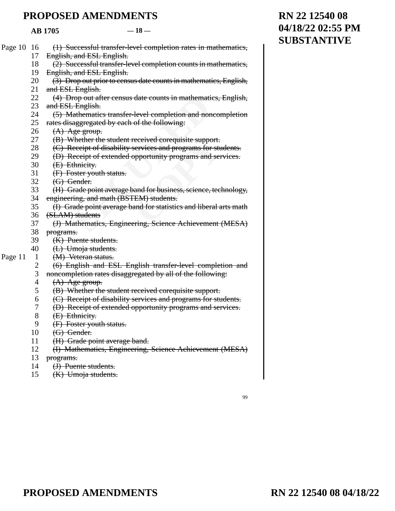#### **AB 1705 — 18 —**

| Page 10 16 |                | (1) Successful transfer-level completion rates in mathematics,    |
|------------|----------------|-------------------------------------------------------------------|
|            | 17             | English, and ESL English.                                         |
|            | 18             | (2) Successful transfer-level completion counts in mathematics,   |
|            | 19             | English, and ESL English.                                         |
|            | 20             | (3) Drop out prior to census date counts in mathematics, English, |
|            | 21             | and ESL English.                                                  |
|            | 22             | (4) Drop out after census date counts in mathematics, English,    |
|            | 23             | and ESL English.                                                  |
|            | 24             | (5) Mathematics transfer-level completion and noncompletion       |
|            | 25             | rates disaggregated by each of the following:                     |
|            | 26             | (A) Age group.                                                    |
|            | 27             | (B) Whether the student received corequisite support.             |
|            | 28             | (C) Receipt of disability services and programs for students.     |
|            | 29             | (D) Receipt of extended opportunity programs and services.        |
|            | 30             | (E) Ethnicity.                                                    |
|            | 31             | (F) Foster youth status.                                          |
|            | 32             | (G) Gender.                                                       |
|            | 33             | (H) Grade point average band for business, science, technology,   |
|            | 34             | engineering, and math (BSTEM) students.                           |
|            | 35             | (I) Grade point average band for statistics and liberal arts math |
|            | 36             | (SLAM) students                                                   |
|            | 37             | (J) Mathematics, Engineering, Science Achievement (MESA)          |
|            | 38             | programs.                                                         |
|            | 39             | (K) Puente students.                                              |
|            | 40             | (L) Umoja students.                                               |
| Page 11    | $\mathbf{1}$   | (M) Veteran status.                                               |
|            | $\overline{c}$ | (6) English and ESL English transfer-level completion and         |
|            | 3              | noncompletion rates disaggregated by all of the following:        |
|            | $\overline{4}$ | $(A)$ Age group.                                                  |
|            | 5              | (B) Whether the student received corequisite support.             |
|            | 6              | (C) Receipt of disability services and programs for students.     |
|            | 7              | (D) Receipt of extended opportunity programs and services.        |
|            | 8              | (E) Ethnicity.                                                    |
|            | 9              | (F) Foster youth status.                                          |
|            | 10             | (G) Gender.                                                       |
|            | 11             | (H) Grade point average band.                                     |
|            | 12             | (I) Mathematics, Engineering, Science Achievement (MESA)          |

- programs. 13
- 14 (J) Puente students.
- (K) Umoja students. 15

## 99

## **RN 22 12540 08 04/18/22 02:55 PM SUBSTANTIVE**

# **PROPOSED AMENDMENTS D** AMENDMENTS **COPY**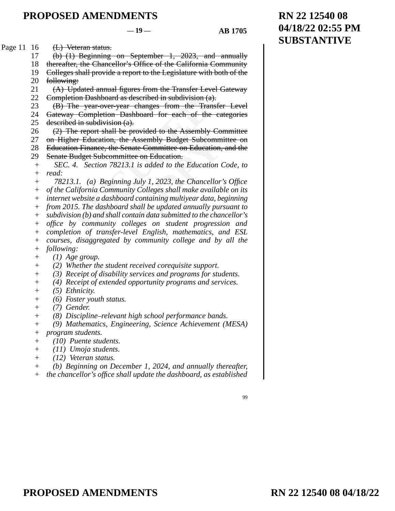$-19 - 481705$ 

(L) Veteran status. Page 11 16

> (b) (1) Beginning on September 1, 2023, and annually 17

> thereafter, the Chancellor's Office of the California Community 18

Colleges shall provide a report to the Legislature with both of the 19

following: 20

(A) Updated annual figures from the Transfer Level Gateway Completion Dashboard as described in subdivision (a). 21 22

(B) The year-over-year changes from the Transfer Level 23

Gateway Completion Dashboard for each of the categories described in subdivision (a). 24 25

(2) The report shall be provided to the Assembly Committee 26

on Higher Education, the Assembly Budget Subcommittee on 27

Education Finance, the Senate Committee on Education, and the 28

Senate Budget Subcommittee on Education. 29

ion Dashboard as described in subdivision (a<br>
he year-over-year changes from the Trat<br>
din subdivision (a).<br>
din subdivision (a).<br>
ne report shall be provided to the Assembly<br>
her Education, the Assembly Budget Subco<br>
on F Assembly Budget Subcomm<br>
Assembly Budget Subcomm<br>
ate Committee on Education,<br>
is added to the Education<br>
is added to the Education<br>
July 1, 2023, the Chancellor<br>
y Colleges shall make availat<br>
l containing multiyear data, *SEC. 4. Section 78213.1 is added to the Education Code, to read:*  + +

*78213.1. (a) Beginning July 1, 2023, the Chancellor's Office*  +

*of the California Community Colleges shall make available on its*  +

*internet website a dashboard containing multiyear data, beginning*  +

*from 2015. The dashboard shall be updated annually pursuant to*  +

*subdivision (b) and shall contain data submitted to the chancellor's office by community colleges on student progression and*  + +

*completion of transfer-level English, mathematics, and ESL*  +

- *courses, disaggregated by community college and by all the following:*  +  $+$
- $+$
- *(1) Age group.*
- *(2) Whether the student received corequisite support.*   $^{+}$
- *(3) Receipt of disability services and programs for students.*  +
- *(4) Receipt of extended opportunity programs and services.*  +
- *(5) Ethnicity.*   $+$
- *(6) Foster youth status.*   $+$
- *(7) Gender.*   $+$
- *(8) Discipline–relevant high school performance bands.*  +
- *(9) Mathematics, Engineering, Science Achievement (MESA)*   $+$
- *program students.*   $+$
- *(10) Puente students.*  +
- *(11) Umoja students.*  +
- *(12) Veteran status.*   $+$
- *(b) Beginning on December 1, 2024, and annually thereafter,*  +
- *the chancellor's office shall update the dashboard, as established*   $+$

99

## **RN 22 12540 08 04/18/22 02:55 PM SUBSTANTIVE**